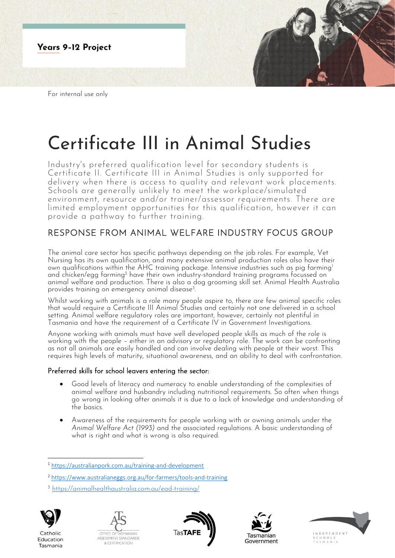

For internal use only

# Certificate III in Animal Studies

Industry's preferred qualification level for secondary students is Certificate II. Certificate III in Animal Studies is only supported for delivery when there is access to quality and relevant work placements. Schools are generally unlikely to meet the workplace/simulated environment, resource and/or trainer/assessor requirements. There are limited employment opportunities for this qualification, however it can provide a pathway to further training.

# RESPONSE FROM ANIMAL WELFARE INDUSTRY FOCUS GROUP

The animal care sector has specific pathways depending on the job roles. For example, Vet Nursing has its own qualification, and many extensive animal production roles also have their own qualifications within the AHC training package. Intensive industries such as pig farming<sup>1</sup> and chicken/egg farming<sup>2</sup> have their own industry-standard training programs focussed on animal welfare and production. There is also a dog grooming skill set. Animal Health Australia provides training on emergency animal disease<sup>3</sup>. .

Whilst working with animals is a role many people aspire to, there are few animal specific roles that would require a Certificate III Animal Studies and certainly not one delivered in a school setting. Animal welfare regulatory roles are important, however, certainly not plentiful in Tasmania and have the requirement of a Certificate IV in Government Investigations.

Anyone working with animals must have well developed people skills as much of the role is working with the people – either in an advisory or regulatory role. The work can be confronting as not all animals are easily handled and can involve dealing with people at their worst. This requires high levels of maturity, situational awareness, and an ability to deal with confrontation.

## Preferred skills for school leavers entering the sector:

- Good levels of literacy and numeracy to enable understanding of the complexities of animal welfare and husbandry including nutritional requirements. So often when things go wrong in looking after animals it is due to a lack of knowledge and understanding of the basics.
- Awareness of the requirements for people working with or owning animals under the *Animal Welfare Act (1993)* and the associated regulations. A basic understanding of what is right and what is wrong is also required.

<sup>3</sup> <https://animalhealthaustralia.com.au/ead-training/>



Catholic

Education

Tasmania









<sup>1</sup> <https://australianpork.com.au/training-and-development>

<sup>2</sup> <https://www.australianeggs.org.au/for-farmers/tools-and-training>